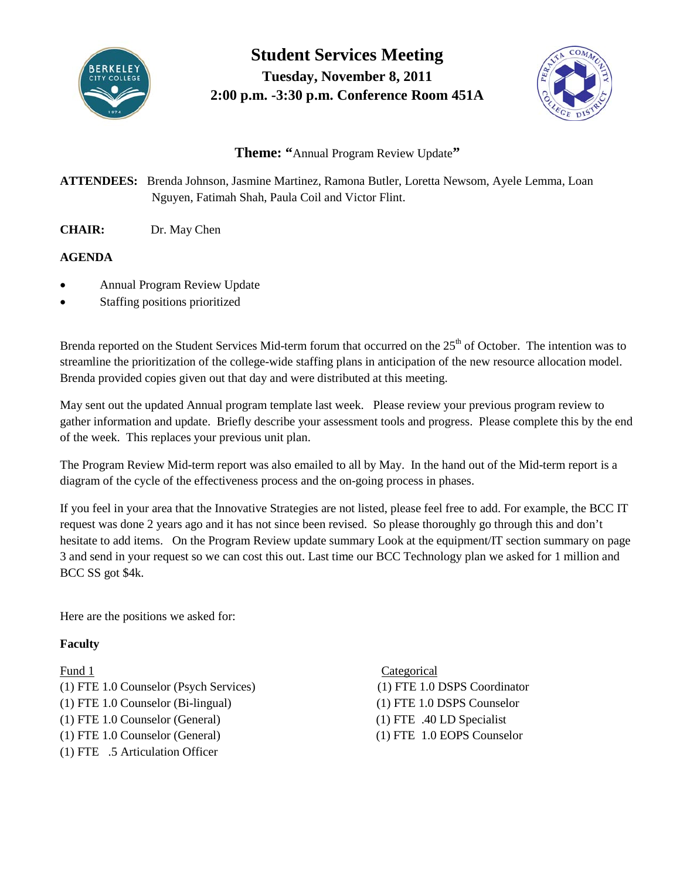

**Student Services Meeting Tuesday, November 8, 2011 2:00 p.m. -3:30 p.m. Conference Room 451A**



# **Theme: "**Annual Program Review Update**"**

**ATTENDEES:** Brenda Johnson, Jasmine Martinez, Ramona Butler, Loretta Newsom, Ayele Lemma, Loan Nguyen, Fatimah Shah, Paula Coil and Victor Flint.

**CHAIR:** Dr. May Chen

## **AGENDA**

- Annual Program Review Update
- Staffing positions prioritized

Brenda reported on the Student Services Mid-term forum that occurred on the 25<sup>th</sup> of October. The intention was to streamline the prioritization of the college-wide staffing plans in anticipation of the new resource allocation model. Brenda provided copies given out that day and were distributed at this meeting.

May sent out the updated Annual program template last week. Please review your previous program review to gather information and update. Briefly describe your assessment tools and progress. Please complete this by the end of the week. This replaces your previous unit plan.

The Program Review Mid-term report was also emailed to all by May. In the hand out of the Mid-term report is a diagram of the cycle of the effectiveness process and the on-going process in phases.

If you feel in your area that the Innovative Strategies are not listed, please feel free to add. For example, the BCC IT request was done 2 years ago and it has not since been revised. So please thoroughly go through this and don't hesitate to add items. On the Program Review update summary Look at the equipment/IT section summary on page 3 and send in your request so we can cost this out. Last time our BCC Technology plan we asked for 1 million and BCC SS got \$4k.

Here are the positions we asked for:

### **Faculty**

(1) FTE 1.0 Counselor (Psych Services) (1) FTE 1.0 DSPS Coordinator (1) FTE 1.0 Counselor (Bi-lingual) (1) FTE 1.0 DSPS Counselor (1) FTE 1.0 Counselor (General) (1) FTE .40 LD Specialist (1) FTE 1.0 Counselor (General) (1) FTE 1.0 EOPS Counselor (1) FTE .5 Articulation Officer

Fund 1 Categorical